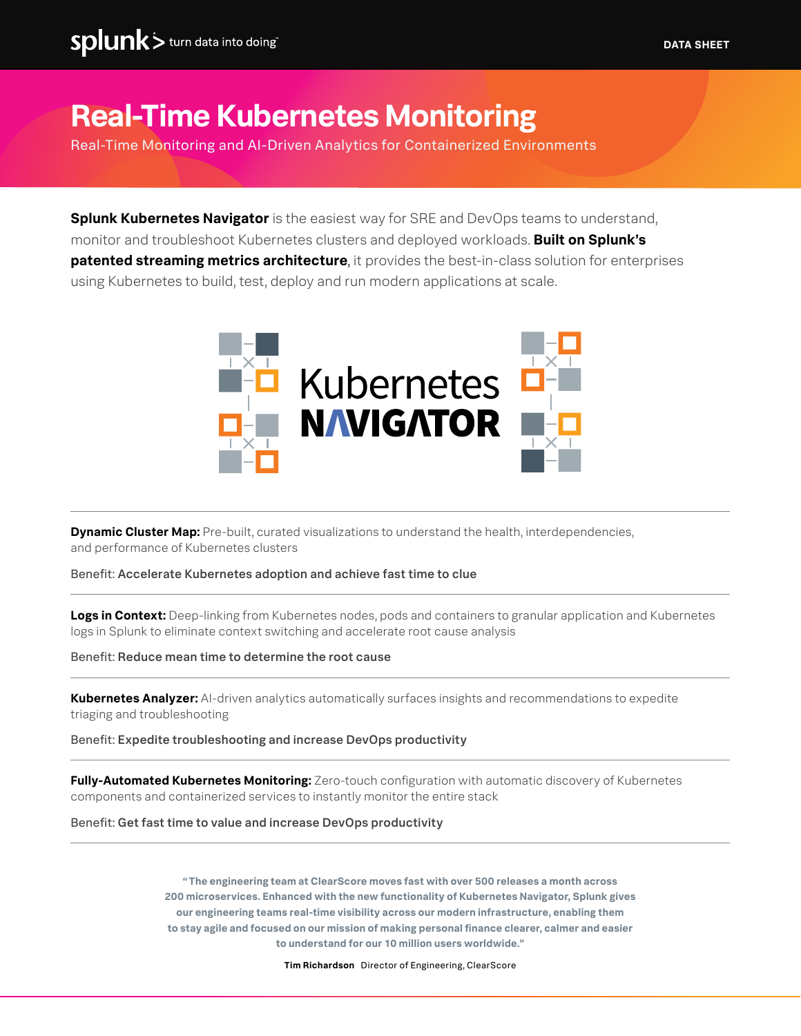# **Real-Time Kubernetes Monitoring**

Real-Time Monitoring and AI-Driven Analytics for Containerized Environments

**Splunk Kubernetes Navigator** is the easiest way for SRE and DevOps teams to understand, monitor and troubleshoot Kubernetes clusters and deployed workloads. **Built on Splunk's patented streaming metrics architecture**, it provides the best-in-class solution for enterprises using Kubernetes to build, test, deploy and run modern applications at scale.



**Dynamic Cluster Map:** Pre-built, curated visualizations to understand the health, interdependencies, and performance of Kubernetes clusters

#### Benefit: Accelerate Kubernetes adoption and achieve fast time to clue

**Logs in Context:** Deep-linking from Kubernetes nodes, pods and containers to granular application and Kubernetes logs in Splunk to eliminate context switching and accelerate root cause analysis

Benefit: Reduce mean time to determine the root cause

**Kubernetes Analyzer:** AI-driven analytics automatically surfaces insights and recommendations to expedite triaging and troubleshooting

Benefit: Expedite troubleshooting and increase DevOps productivity

**Fully-Automated Kubernetes Monitoring:** Zero-touch configuration with automatic discovery of Kubernetes components and containerized services to instantly monitor the entire stack

Benefit: Get fast time to value and increase DevOps productivity

**" The engineering team at ClearScore moves fast with over 500 releases a month across 200 microservices. Enhanced with the new functionality of Kubernetes Navigator, Splunk gives our engineering teams real-time visibility across our modern infrastructure, enabling them to stay agile and focused on our mission of making personal finance clearer, calmer and easier to understand for our 10 million users worldwide."** 

**Tim Richardson** Director of Engineering, ClearScore